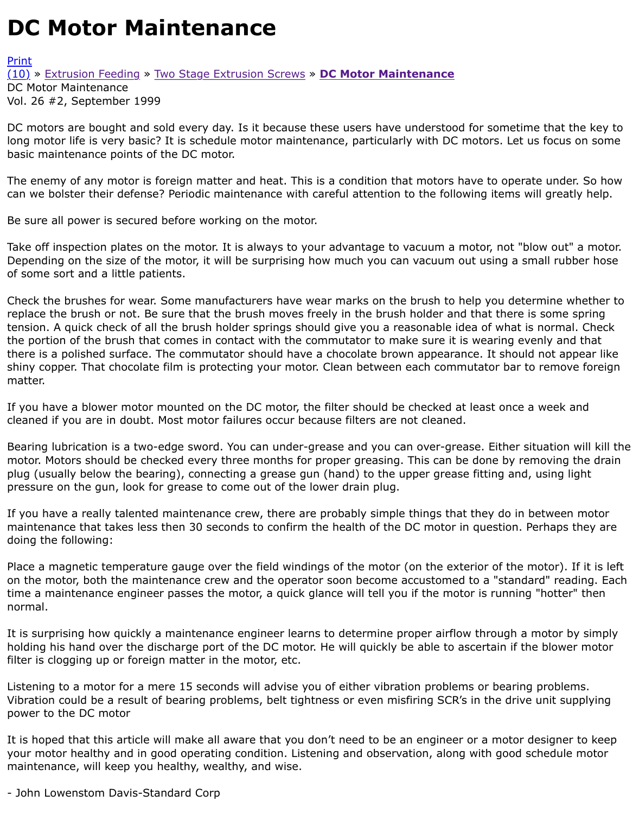DC motors are bought and sold every day. Is it because these users have understood for sometime long motor life is very basic? It is schedule motor maintenance, particularly with DC motors. Let us basic maintenance points of the DC motor.

[The](http://extrusionwiki.com/wiki/CC-V26-2-I.ashx#) [e](http://extrusionwiki.com/wiki/Print.aspx?Page=CC-V26-2-I)n[emy of any motor](http://extrusionwiki.com/wiki/CC-V26-2-G.ashx) is [foreign matter and heat. Thi](http://extrusionwiki.com/wiki/CC-V26-2-H.ashx)s i[s a condition that motors](http://extrusionwiki.com/wiki/CC-V26-2-I.ashx) have to operate can we bolster their defense? Periodic maintenance with careful attention to the following items will

Be sure all power is secured before working on the motor.

Take off inspection plates on the motor. It is always to your advantage to vacuum a motor, not "blov Depending on the size of the motor, it will be surprising how much you can vacuum out using a sma of some sort and a little patients.

Check the brushes for wear. Some manufacturers have wear marks on the brush to help you detern replace the brush or not. Be sure that the brush moves freely in the brush holder and that there is s tension. A quick check of all the brush holder springs should give you a reasonable idea of what is n the portion of the brush that comes in contact with the commutator to make sure it is wearing even there is a polished surface. The commutator should have a chocolate brown appearance. It should r shiny copper. That chocolate film is protecting your motor. Clean between each commutator bar to r matter.

If you have a blower motor mounted on the DC motor, the filter should be checked at least once a v cleaned if you are in doubt. Most motor failures occur because filters are not cleaned.

Bearing lubrication is a two-edge sword. You can under-grease and you can over-grease. Either situ motor. Motors should be checked every three months for proper greasing. This can be done by remo plug (usually below the bearing), connecting a grease gun (hand) to the upper grease fitting and, u pressure on the gun, look for grease to come out of the lower drain plug.

If you have a really talented maintenance crew, there are probably simple things that they do in bet maintenance that takes less then 30 seconds to confirm the health of the DC motor in question. Per doing the following:

Place a magnetic temperature gauge over the field windings of the motor (on the exterior of the mo on the motor, both the maintenance crew and the operator soon become accustomed to a "standard time a maintenance engineer passes the motor, a quick glance will tell you if the motor is running "l normal.

It is surprising how quickly a maintenance engineer learns to determine proper airflow through a mo holding his hand over the discharge port of the DC motor. He will quickly be able to ascertain if the filter is clogging up or foreign matter in the motor, etc.

Listening to a motor for a mere 15 seconds will advise you of either vibration problems or bearing p Vibration could be a result of bearing problems, belt tightness or even misfiring SCR's in the drive u power to the DC motor

It is hoped that this article will make all aware that you don't need to be an engineer or a motor dest your motor healthy and in good operating condition. Listening and observation, along with good sch maintenance, will keep you healthy, wealthy, and wise.

- John Lowenstom Davis-Standard Corp